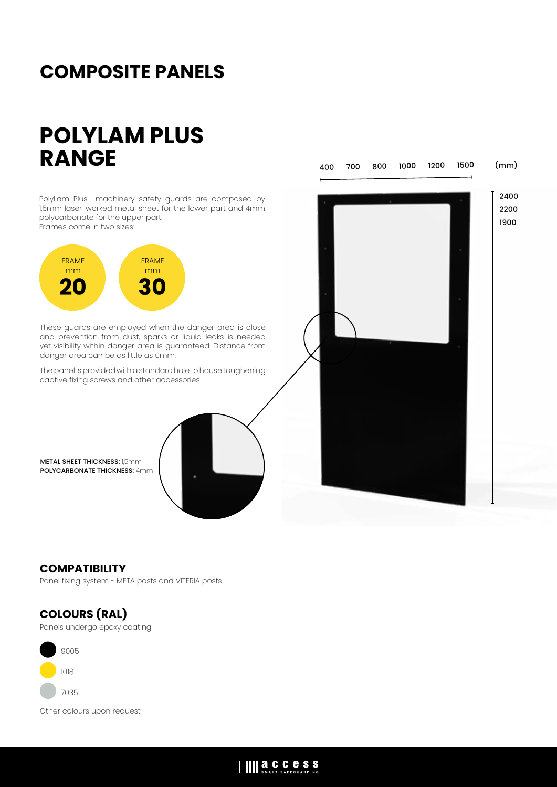## **COMPOSITE PANELS**

# **POLYLAM PLUS RANGE**

PolyLam Plus machinery safety guards are composed by 1,5mm laser-worked metal sheet for the lower part and 4mm polycarbonate for the upper part. Frames come in two sizes:



These guards are employed when the danger area is close and prevention from dust, sparks or liquid leaks is needed yet visibility within danger area is guaranteed. Distance from danger area can be as little as 0mm.

The panel is provided with a standard hole to house toughening captive fixing screws and other accessories.

METAL SHEET THICKNESS: 1,5mm POLYCARBONATE THICKNESS: 4mm



### **COMPATIBILITY**

Panel fixing system - META posts and VITERIA posts

### **COLOURS (RAL)**

Panels undergo epoxy coating



Other colours upon request

## IIII a.C.C.C.S.S